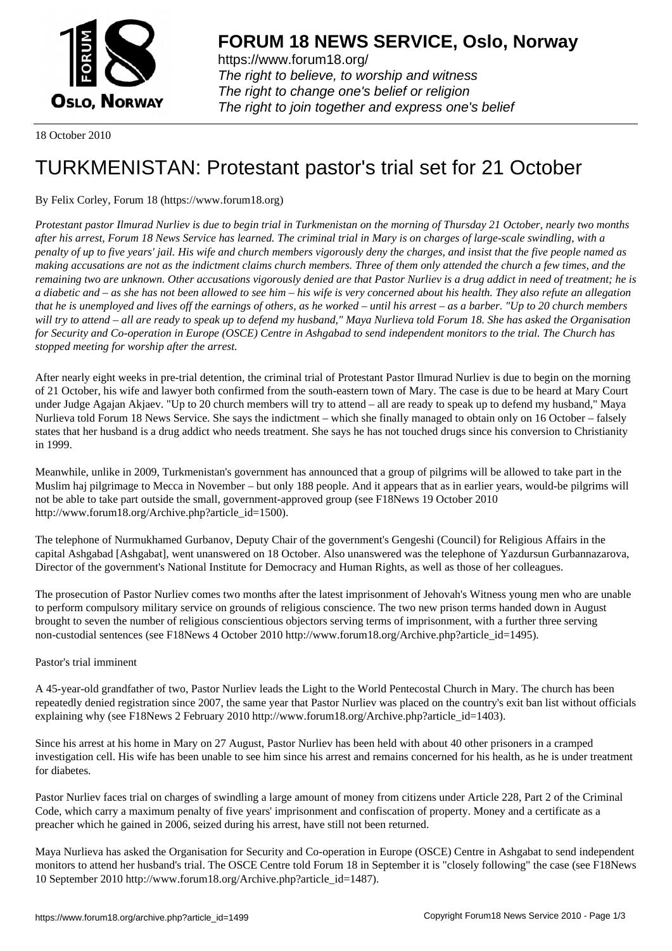

https://www.forum18.org/ The right to believe, to worship and witness The right to change one's belief or religion [The right to join together a](https://www.forum18.org/)nd express one's belief

18 October 2010

## [TURKMENISTA](https://www.forum18.org)N: Protestant pastor's trial set for 21 October

By Felix Corley, Forum 18 (https://www.forum18.org)

*Protestant pastor Ilmurad Nurliev is due to begin trial in Turkmenistan on the morning of Thursday 21 October, nearly two months after his arrest, Forum 18 News Service has learned. The criminal trial in Mary is on charges of large-scale swindling, with a penalty of up to five years' jail. His wife and church members vigorously deny the charges, and insist that the five people named as making accusations are not as the indictment claims church members. Three of them only attended the church a few times, and the remaining two are unknown. Other accusations vigorously denied are that Pastor Nurliev is a drug addict in need of treatment; he is a diabetic and – as she has not been allowed to see him – his wife is very concerned about his health. They also refute an allegation that he is unemployed and lives off the earnings of others, as he worked – until his arrest – as a barber. "Up to 20 church members will try to attend – all are ready to speak up to defend my husband," Maya Nurlieva told Forum 18. She has asked the Organisation for Security and Co-operation in Europe (OSCE) Centre in Ashgabad to send independent monitors to the trial. The Church has stopped meeting for worship after the arrest.*

After nearly eight weeks in pre-trial detention, the criminal trial of Protestant Pastor Ilmurad Nurliev is due to begin on the morning of 21 October, his wife and lawyer both confirmed from the south-eastern town of Mary. The case is due to be heard at Mary Court under Judge Agajan Akjaev. "Up to 20 church members will try to attend – all are ready to speak up to defend my husband," Maya Nurlieva told Forum 18 News Service. She says the indictment – which she finally managed to obtain only on 16 October – falsely states that her husband is a drug addict who needs treatment. She says he has not touched drugs since his conversion to Christianity in 1999.

Meanwhile, unlike in 2009, Turkmenistan's government has announced that a group of pilgrims will be allowed to take part in the Muslim haj pilgrimage to Mecca in November – but only 188 people. And it appears that as in earlier years, would-be pilgrims will not be able to take part outside the small, government-approved group (see F18News 19 October 2010 http://www.forum18.org/Archive.php?article\_id=1500).

The telephone of Nurmukhamed Gurbanov, Deputy Chair of the government's Gengeshi (Council) for Religious Affairs in the capital Ashgabad [Ashgabat], went unanswered on 18 October. Also unanswered was the telephone of Yazdursun Gurbannazarova, Director of the government's National Institute for Democracy and Human Rights, as well as those of her colleagues.

The prosecution of Pastor Nurliev comes two months after the latest imprisonment of Jehovah's Witness young men who are unable to perform compulsory military service on grounds of religious conscience. The two new prison terms handed down in August brought to seven the number of religious conscientious objectors serving terms of imprisonment, with a further three serving non-custodial sentences (see F18News 4 October 2010 http://www.forum18.org/Archive.php?article\_id=1495).

## Pastor's trial imminent

A 45-year-old grandfather of two, Pastor Nurliev leads the Light to the World Pentecostal Church in Mary. The church has been repeatedly denied registration since 2007, the same year that Pastor Nurliev was placed on the country's exit ban list without officials explaining why (see F18News 2 February 2010 http://www.forum18.org/Archive.php?article\_id=1403).

Since his arrest at his home in Mary on 27 August, Pastor Nurliev has been held with about 40 other prisoners in a cramped investigation cell. His wife has been unable to see him since his arrest and remains concerned for his health, as he is under treatment for diabetes.

Pastor Nurliev faces trial on charges of swindling a large amount of money from citizens under Article 228, Part 2 of the Criminal Code, which carry a maximum penalty of five years' imprisonment and confiscation of property. Money and a certificate as a preacher which he gained in 2006, seized during his arrest, have still not been returned.

Maya Nurlieva has asked the Organisation for Security and Co-operation in Europe (OSCE) Centre in Ashgabat to send independent monitors to attend her husband's trial. The OSCE Centre told Forum 18 in September it is "closely following" the case (see F18News 10 September 2010 http://www.forum18.org/Archive.php?article\_id=1487).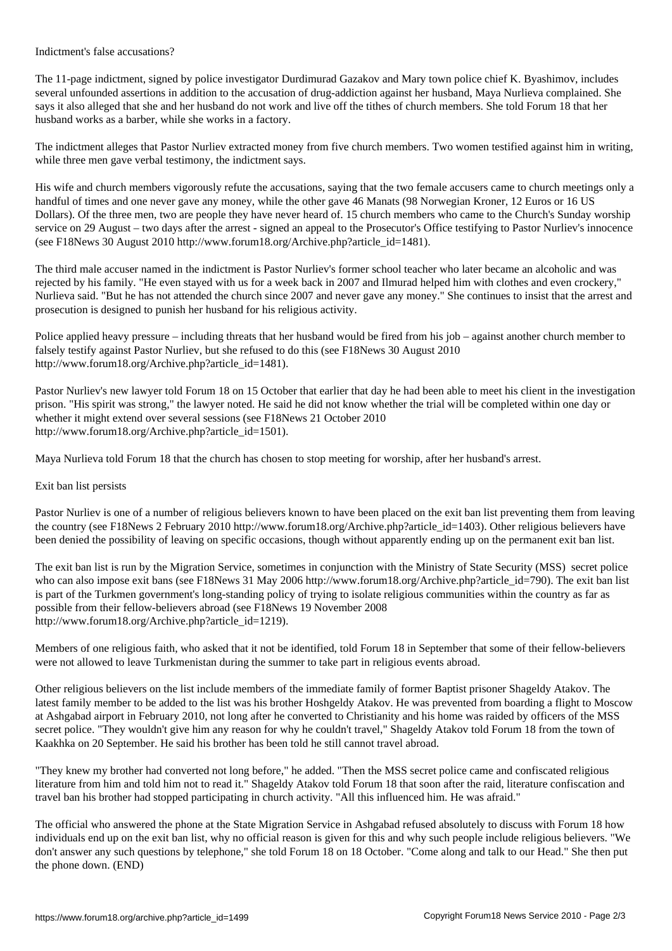The 11-page indictment, signed by police investigator Durdimurad Gazakov and Mary town police chief K. Byashimov, includes several unfounded assertions in addition to the accusation of drug-addiction against her husband, Maya Nurlieva complained. She says it also alleged that she and her husband do not work and live off the tithes of church members. She told Forum 18 that her husband works as a barber, while she works in a factory.

The indictment alleges that Pastor Nurliev extracted money from five church members. Two women testified against him in writing, while three men gave verbal testimony, the indictment says.

His wife and church members vigorously refute the accusations, saying that the two female accusers came to church meetings only a handful of times and one never gave any money, while the other gave 46 Manats (98 Norwegian Kroner, 12 Euros or 16 US Dollars). Of the three men, two are people they have never heard of. 15 church members who came to the Church's Sunday worship service on 29 August – two days after the arrest - signed an appeal to the Prosecutor's Office testifying to Pastor Nurliev's innocence (see F18News 30 August 2010 http://www.forum18.org/Archive.php?article\_id=1481).

The third male accuser named in the indictment is Pastor Nurliev's former school teacher who later became an alcoholic and was rejected by his family. "He even stayed with us for a week back in 2007 and Ilmurad helped him with clothes and even crockery," Nurlieva said. "But he has not attended the church since 2007 and never gave any money." She continues to insist that the arrest and prosecution is designed to punish her husband for his religious activity.

Police applied heavy pressure – including threats that her husband would be fired from his job – against another church member to falsely testify against Pastor Nurliev, but she refused to do this (see F18News 30 August 2010 http://www.forum18.org/Archive.php?article\_id=1481).

Pastor Nurliev's new lawyer told Forum 18 on 15 October that earlier that day he had been able to meet his client in the investigation prison. "His spirit was strong," the lawyer noted. He said he did not know whether the trial will be completed within one day or whether it might extend over several sessions (see F18News 21 October 2010 http://www.forum18.org/Archive.php?article\_id=1501).

Maya Nurlieva told Forum 18 that the church has chosen to stop meeting for worship, after her husband's arrest.

## Exit ban list persists

Pastor Nurliev is one of a number of religious believers known to have been placed on the exit ban list preventing them from leaving the country (see F18News 2 February 2010 http://www.forum18.org/Archive.php?article\_id=1403). Other religious believers have been denied the possibility of leaving on specific occasions, though without apparently ending up on the permanent exit ban list.

The exit ban list is run by the Migration Service, sometimes in conjunction with the Ministry of State Security (MSS) secret police who can also impose exit bans (see F18News 31 May 2006 http://www.forum18.org/Archive.php?article\_id=790). The exit ban list is part of the Turkmen government's long-standing policy of trying to isolate religious communities within the country as far as possible from their fellow-believers abroad (see F18News 19 November 2008 http://www.forum18.org/Archive.php?article\_id=1219).

Members of one religious faith, who asked that it not be identified, told Forum 18 in September that some of their fellow-believers were not allowed to leave Turkmenistan during the summer to take part in religious events abroad.

Other religious believers on the list include members of the immediate family of former Baptist prisoner Shageldy Atakov. The latest family member to be added to the list was his brother Hoshgeldy Atakov. He was prevented from boarding a flight to Moscow at Ashgabad airport in February 2010, not long after he converted to Christianity and his home was raided by officers of the MSS secret police. "They wouldn't give him any reason for why he couldn't travel," Shageldy Atakov told Forum 18 from the town of Kaakhka on 20 September. He said his brother has been told he still cannot travel abroad.

"They knew my brother had converted not long before," he added. "Then the MSS secret police came and confiscated religious literature from him and told him not to read it." Shageldy Atakov told Forum 18 that soon after the raid, literature confiscation and travel ban his brother had stopped participating in church activity. "All this influenced him. He was afraid."

The official who answered the phone at the State Migration Service in Ashgabad refused absolutely to discuss with Forum 18 how individuals end up on the exit ban list, why no official reason is given for this and why such people include religious believers. "We don't answer any such questions by telephone," she told Forum 18 on 18 October. "Come along and talk to our Head." She then put the phone down. (END)